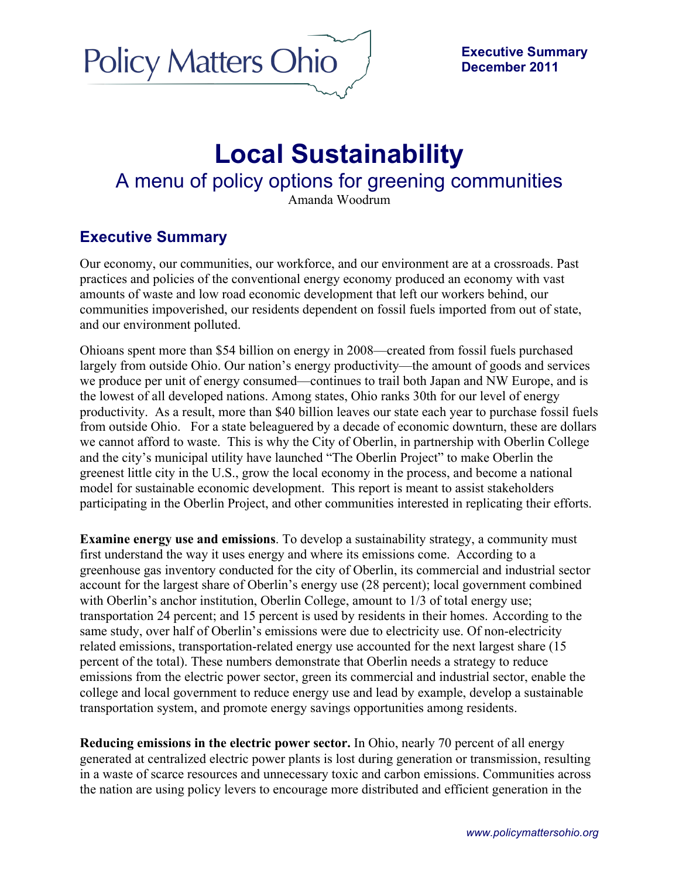

## **Local Sustainability**

## A menu of policy options for greening communities

Amanda Woodrum

## **Executive Summary**

Our economy, our communities, our workforce, and our environment are at a crossroads. Past practices and policies of the conventional energy economy produced an economy with vast amounts of waste and low road economic development that left our workers behind, our communities impoverished, our residents dependent on fossil fuels imported from out of state, and our environment polluted.

Ohioans spent more than \$54 billion on energy in 2008—created from fossil fuels purchased largely from outside Ohio. Our nation's energy productivity—the amount of goods and services we produce per unit of energy consumed—continues to trail both Japan and NW Europe, and is the lowest of all developed nations. Among states, Ohio ranks 30th for our level of energy productivity. As a result, more than \$40 billion leaves our state each year to purchase fossil fuels from outside Ohio. For a state beleaguered by a decade of economic downturn, these are dollars we cannot afford to waste. This is why the City of Oberlin, in partnership with Oberlin College and the city's municipal utility have launched "The Oberlin Project" to make Oberlin the greenest little city in the U.S., grow the local economy in the process, and become a national model for sustainable economic development. This report is meant to assist stakeholders participating in the Oberlin Project, and other communities interested in replicating their efforts.

**Examine energy use and emissions**. To develop a sustainability strategy, a community must first understand the way it uses energy and where its emissions come. According to a greenhouse gas inventory conducted for the city of Oberlin, its commercial and industrial sector account for the largest share of Oberlin's energy use (28 percent); local government combined with Oberlin's anchor institution, Oberlin College, amount to  $1/3$  of total energy use; transportation 24 percent; and 15 percent is used by residents in their homes. According to the same study, over half of Oberlin's emissions were due to electricity use. Of non-electricity related emissions, transportation-related energy use accounted for the next largest share (15 percent of the total). These numbers demonstrate that Oberlin needs a strategy to reduce emissions from the electric power sector, green its commercial and industrial sector, enable the college and local government to reduce energy use and lead by example, develop a sustainable transportation system, and promote energy savings opportunities among residents.

**Reducing emissions in the electric power sector.** In Ohio, nearly 70 percent of all energy generated at centralized electric power plants is lost during generation or transmission, resulting in a waste of scarce resources and unnecessary toxic and carbon emissions. Communities across the nation are using policy levers to encourage more distributed and efficient generation in the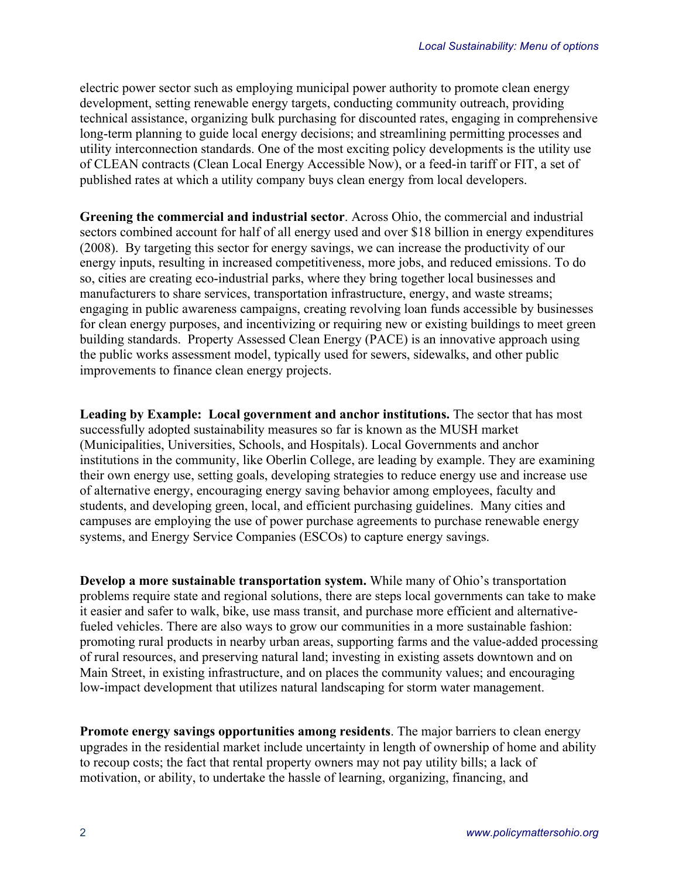electric power sector such as employing municipal power authority to promote clean energy development, setting renewable energy targets, conducting community outreach, providing technical assistance, organizing bulk purchasing for discounted rates, engaging in comprehensive long-term planning to guide local energy decisions; and streamlining permitting processes and utility interconnection standards. One of the most exciting policy developments is the utility use of CLEAN contracts (Clean Local Energy Accessible Now), or a feed-in tariff or FIT, a set of published rates at which a utility company buys clean energy from local developers.

**Greening the commercial and industrial sector**. Across Ohio, the commercial and industrial sectors combined account for half of all energy used and over \$18 billion in energy expenditures (2008).By targeting this sector for energy savings, we can increase the productivity of our energy inputs, resulting in increased competitiveness, more jobs, and reduced emissions. To do so, cities are creating eco-industrial parks, where they bring together local businesses and manufacturers to share services, transportation infrastructure, energy, and waste streams; engaging in public awareness campaigns, creating revolving loan funds accessible by businesses for clean energy purposes, and incentivizing or requiring new or existing buildings to meet green building standards. Property Assessed Clean Energy (PACE) is an innovative approach using the public works assessment model, typically used for sewers, sidewalks, and other public improvements to finance clean energy projects.

**Leading by Example: Local government and anchor institutions.** The sector that has most successfully adopted sustainability measures so far is known as the MUSH market (Municipalities, Universities, Schools, and Hospitals). Local Governments and anchor institutions in the community, like Oberlin College, are leading by example. They are examining their own energy use, setting goals, developing strategies to reduce energy use and increase use of alternative energy, encouraging energy saving behavior among employees, faculty and students, and developing green, local, and efficient purchasing guidelines. Many cities and campuses are employing the use of power purchase agreements to purchase renewable energy systems, and Energy Service Companies (ESCOs) to capture energy savings.

**Develop a more sustainable transportation system.** While many of Ohio's transportation problems require state and regional solutions, there are steps local governments can take to make it easier and safer to walk, bike, use mass transit, and purchase more efficient and alternativefueled vehicles. There are also ways to grow our communities in a more sustainable fashion: promoting rural products in nearby urban areas, supporting farms and the value-added processing of rural resources, and preserving natural land; investing in existing assets downtown and on Main Street, in existing infrastructure, and on places the community values; and encouraging low-impact development that utilizes natural landscaping for storm water management.

**Promote energy savings opportunities among residents**. The major barriers to clean energy upgrades in the residential market include uncertainty in length of ownership of home and ability to recoup costs; the fact that rental property owners may not pay utility bills; a lack of motivation, or ability, to undertake the hassle of learning, organizing, financing, and